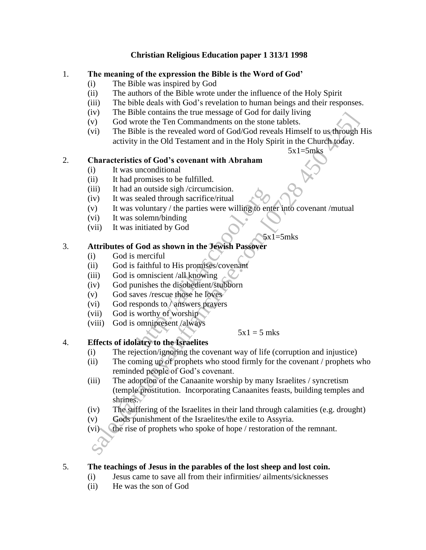### **Christian Religious Education paper 1 313/1 1998**

### 1. **The meaning of the expression the Bible is the Word of God'**

- (i) The Bible was inspired by God
- (ii) The authors of the Bible wrote under the influence of the Holy Spirit
- (iii) The bible deals with God's revelation to human beings and their responses.
- (iv) The Bible contains the true message of God for daily living
- (v) God wrote the Ten Commandments on the stone tablets.
- (vi) The Bible is the revealed word of God/God reveals Himself to us through His activity in the Old Testament and in the Holy Spirit in the Church today.

 $5x1=5mks$ 

# 2. **Characteristics of God's covenant with Abraham**

- (i) It was unconditional
- (ii) It had promises to be fulfilled.
- (iii) It had an outside sigh /circumcision.
- (iv) It was sealed through sacrifice/ritual
- (v) It was voluntary / the parties were willing to enter into covenant /mutual an outside sign /circumcision.<br>
sealed through sacrifice/ritual<br>
voluntary / the parties were willing to ent<br>
solemn/binding<br>
initiated by God<br> **God as shown in the Jewish Passover**<br>
merciful<br>
faithful to His promises/cov
- (vi) It was solemn/binding
- (vii) It was initiated by God

 $5x1=5mks$ 

# 3. **Attributes of God as shown in the Jewish Passover**

- (i) God is merciful
- (ii) God is faithful to His promises/covenant
- (iii) God is omniscient /all knowing
- (iv) God punishes the disobedient/stubborn
- (v) God saves /rescue those he loves
- (vi) God responds to / answers prayers
- (vii) God is worthy of worship
- (viii) God is omnipresent /always

 $5x1 = 5$  mks

# 4. **Effects of idolatry to the Israelites**

- (i) The rejection/ignoring the covenant way of life (corruption and injustice)
- (ii) The coming up of prophets who stood firmly for the covenant / prophets who reminded people of God's covenant.
- (iii) The adoption of the Canaanite worship by many Israelites / syncretism (temple prostitution. Incorporating Canaanites feasts, building temples and shrines. solution and the measure of the measure of the command the transmit of code of the command measure activity in the Biblie is the revealed vord of God's coverant with Abraham and in the Holy Spirit in the Church Joday.<br>
Ch
- (iv) The suffering of the Israelites in their land through calamities (e.g. drought)
- (v) Gods punishment of the Israelites/the exile to Assyria.
- (vi) the rise of prophets who spoke of hope / restoration of the remnant.



# 5. **The teachings of Jesus in the parables of the lost sheep and lost coin.**

- (i) Jesus came to save all from their infirmities/ ailments/sicknesses
- (ii) He was the son of God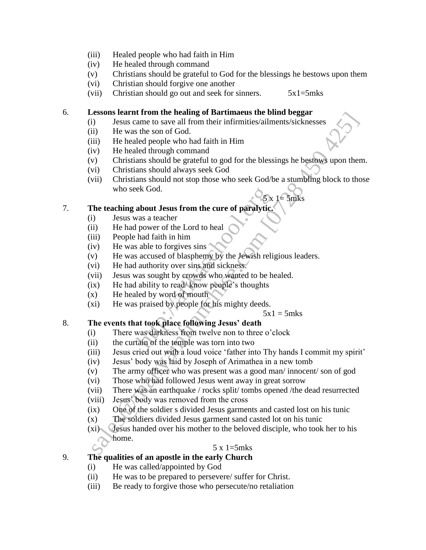- (iii) Healed people who had faith in Him
- (iv) He healed through command
- (v) Christians should be grateful to God for the blessings he bestows upon them
- (vi) Christian should forgive one another
- (vii) Christian should go out and seek for sinners.  $5x1=5mks$

# 6. **Lessons learnt from the healing of Bartimaeus the blind beggar**

- (i) Jesus came to save all from their infirmities/ailments/sicknesses
- (ii) He was the son of God.
- (iii) He healed people who had faith in Him
- (iv) He healed through command
- (v) Christians should be grateful to god for the blessings he bestows upon them.
- (vi) Christians should always seek God
- (vii) Christians should not stop those who seek God/be a stumbling block to those who seek God.  $-5$ x 1= 5mks **Example 10** and the total many of Darkundar in the theorem suppose that the best soon of God.<br>
(i) Jesus came to save all from their infirmities/ailments/sicknesses<br>
(ii) He healed prople who had faith in Him<br>
(iv) He he

### 7. **The teaching about Jesus from the cure of paralytic.**

- (i) Jesus was a teacher
- (ii) He had power of the Lord to heal
- (iii) People had faith in him
- $(iv)$  He was able to forgives sins
- (v) He was accused of blasphemy by the Jewish religious leaders. EXECT SOFT THE REFORM IN THE REFORM IN THE REFORM IN A SAME STATE OF SAMALLY CONDUCT THE INTERNATION IN SAMALLY CONDUCT THE INTERNATIONAL STATE IN A SAMALLY CONDUCT THE STATE OF SAMALLY STATE OF SAMALLY STATE AND NOTE OF T
- (vi) He had authority over sins and sickness.
- (vii) Jesus was sought by crowds who wanted to be healed.
- (ix) He had ability to read/ know people's thoughts
- (x) He healed by word of mouth
- (xi) He was praised by people for his mighty deeds.

#### $5x1 = 5mks$

# 8. **The events that took place following Jesus' death**

- (i) There was darkness from twelve non to three o'clock
- (ii) the curtain of the temple was torn into two
- (iii) Jesus cried out with a loud voice 'father into Thy hands I commit my spirit'
- (iv) Jesus' body was laid by Joseph of Arimathea in a new tomb
- (v) The army officer who was present was a good man/ innocent/ son of god
- (vi) Those who had followed Jesus went away in great sorrow
- (vii) There was an earthquake / rocks split/ tombs opened /the dead resurrected
- (viii) Jesus' body was removed from the cross
- (ix) One of the soldier s divided Jesus garments and casted lost on his tunic
- (x) The soldiers divided Jesus garment sand casted lot on his tunic
- (xi) Jesus handed over his mother to the beloved disciple, who took her to his home.

#### 5 x 1=5mks

# 9. **The qualities of an apostle in the early Church**

- (i) He was called/appointed by God
- (ii) He was to be prepared to persevere/ suffer for Christ.
- (iii) Be ready to forgive those who persecute/no retaliation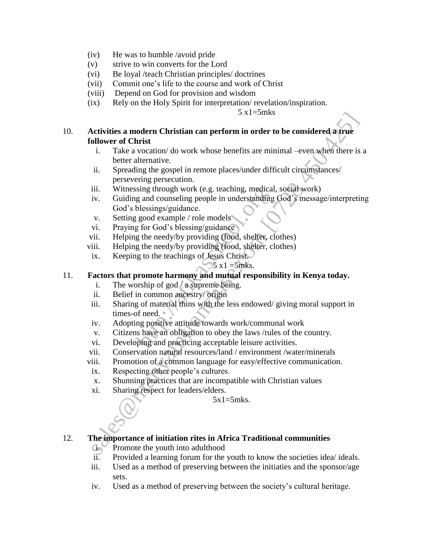- (iv) He was to humble /avoid pride
- (v) strive to win converts for the Lord
- (vi) Be loyal /teach Christian principles/ doctrines
- (vii) Commit one's life to the course and work of Christ
- (viii) Depend on God for provision and wisdom
- (ix) Rely on the Holy Spirit for interpretation/ revelation/inspiration.

 $5 \times 1 = 5$ mks

# 10. **Activities a modern Christian can perform in order to be considered a true follower of Christ**

- i. Take a vocation/ do work whose benefits are minimal –even when there is a better alternative.
- ii. Spreading the gospel in remote places/under difficult circumstances/ persevering persecution.
- iii. Witnessing through work (e.g. teaching, medical, social work)
- iv. Guiding and counseling people in understanding God's message/interpreting God's blessings/guidance. sing through work (e.g. teacning, medical<br>g and counseling people in understanding<br>blessings/guidance.<br>g for God's blessing/guidance<br>g the needy/by providing (food, shelter, c<br>g the needy/by providing (food, shelter, c<br>g strivities a modern Christian can perform in order to be considered a true<br>of Christ<br>i. Take a vocation/do work whose benefits are minimal –even when there is<br>better alternative.<br>i.e. Take a vocation.<br>iii. Spreading the g
- v. Setting good example / role models
- vi. Praying for God's blessing/guidance
- vii. Helping the needy/by providing (food, shelter, clothes)
- viii. Helping the needy/by providing (food, shelter, clothes)
- ix. Keeping to the teachings of Jesus Christ.
	- $5 \times 1 = 5$ mks.

# 11. **Factors that promote harmony and mutual responsibility in Kenya today.**

- i. The worship of god / a supreme being.
- ii. Belief in common ancestry/ origin
- iii. Sharing of material thins with the less endowed/ giving moral support in times-of need. •
- iv. Adopting positive attitude towards work/communal work
- v. Citizens have an obligation to obey the laws /rules of the country.
- vi. Developing and practicing acceptable leisure activities.
- vii. Conservation natural resources/land / environment /water/minerals
- viii. Promotion of a common language for easy/effective communication.
- ix. Respecting other people's cultures.
- x. Shunning practices that are incompatible with Christian values
- xi. Sharing respect for leaders/elders.

 $5x1=5mks$ .

# 12. **The importance of initiation rites in Africa Traditional communities**

- i. Promote the youth into adulthood
- ii. Provided a learning forum for the youth to know the societies idea/ ideals.
- iii. Used as a method of preserving between the initiaties and the sponsor/age sets.
- iv. Used as a method of preserving between the society's cultural heritage.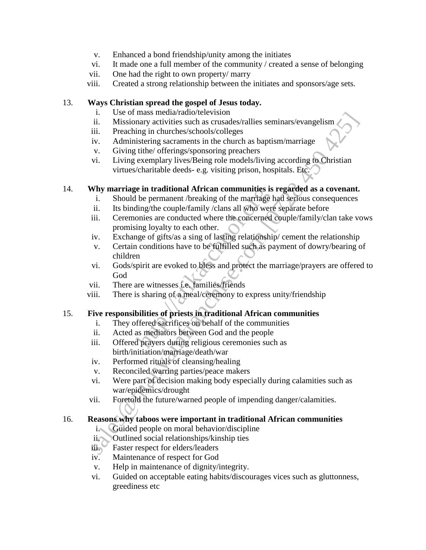- v. Enhanced a bond friendship/unity among the initiates
- vi. It made one a full member of the community / created a sense of belonging
- vii. One had the right to own property/ marry
- viii. Created a strong relationship between the initiates and sponsors/age sets.

### 13. **Ways Christian spread the gospel of Jesus today.**

- i. Use of mass media/radio/television
- ii. Missionary activities such as crusades/rallies seminars/evangelism
- iii. Preaching in churches/schools/colleges
- iv. Administering sacraments in the church as baptism/marriage
- v. Giving tithe/ offerings/sponsoring preachers
- vi. Living exemplary lives/Being role models/living according to Christian virtues/charitable deeds- e.g. visiting prison, hospitals. Etc.

# 14. **Why marriage in traditional African communities is regarded as a covenant.**

- i. Should be permanent /breaking of the marriage had serious consequences
- ii. Its binding/the couple/family /clans all who were separate before
- iii. Ceremonies are conducted where the concerned couple/family/clan take vows promising loyalty to each other.
- iv. Exchange of gifts/as a sing of lasting relationship/ cement the relationship
- v. Certain conditions have to be fulfilled such as payment of dowry/bearing of children de in traditional African communities is<br>the permanent /breaking of the marriage<br>ding/the couple/family /clans all who wer<br>onies are conducted where the concerned<br>ing loyalty to each other.<br>age of gifts/as a sing of lastin 1. Missionary activities such as costasses/rallies seminars/evangelism<br>
iii. Missionary activities such as crisades/rallies seminars/evangelism<br>
iii. Praching in churches/schools/colleges<br>
v. during exerments in the church
- vi. Gods/spirit are evoked to bless and protect the marriage/prayers are offered to God
- vii. There are witnesses i.e. families/friends
- viii. There is sharing of a meal/ceremony to express unity/friendship

# 15. **Five responsibilities of priests in traditional African communities**

- i. They offered sacrifices on behalf of the communities
- ii. Acted as mediators between God and the people
- iii. Offered prayers during religious ceremonies such as birth/initiation/marriage/death/war
- iv. Performed rituals of cleansing/healing
- v. Reconciled warring parties/peace makers
- vi. Were part of decision making body especially during calamities such as war/epidemics/drought
- vii. Foretold the future/warned people of impending danger/calamities.

#### 16. **Reasons why taboos were important in traditional African communities**

- 
- i. Guided people on moral behavior/discipline<br>ii. Outlined social relationships/kinship ties **Outlined social relationships/kinship ties**
- iii. Faster respect for elders/leaders
- iv. Maintenance of respect for God
- v. Help in maintenance of dignity/integrity.
- vi. Guided on acceptable eating habits/discourages vices such as gluttonness, greediness etc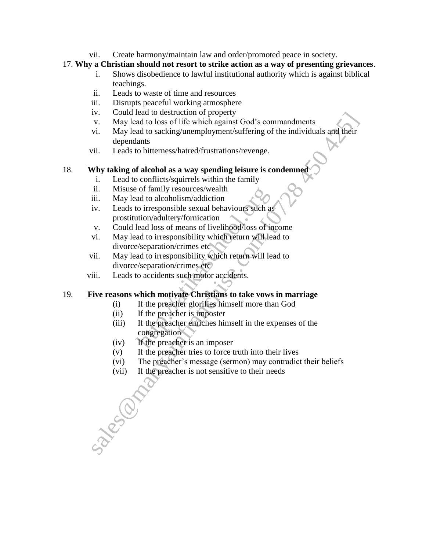vii. Create harmony/maintain law and order/promoted peace in society.

# 17. **Why a Christian should not resort to strike action as a way of presenting grievances**.

- i. Shows disobedience to lawful institutional authority which is against biblical teachings.
- ii. Leads to waste of time and resources
- iii. Disrupts peaceful working atmosphere
- iv. Could lead to destruction of property
- v. May lead to loss of life which against God's commandments
- vi. May lead to sacking/unemployment/suffering of the individuals and their dependants v. May lead to inespare the weather of the property of the property of the product of the product of the product of the product of the product of the product of the dependants of alcohol as a way spending leisure is condem
- vii. Leads to bitterness/hatred/frustrations/revenge.

# 18. **Why taking of alcohol as a way spending leisure is condemned**

- i. Lead to conflicts/squirrels within the family
- ii. Misuse of family resources/wealth
- iii. May lead to alcoholism/addiction
- iv. Leads to irresponsible sexual behaviours such as prostitution/adultery/fornication For a contract of the preacher simples are congregation<br>
to irresponsible sexual behaviours such as<br>
ution/adultery/fornication<br>
lead loss of means of livelihood/loss of ir<br>
rad to irresponsibility which return will le<br>
e/
- v. Could lead loss of means of livelihood/loss of income
- vi. May lead to irresponsibility which return will lead to divorce/separation/crimes etc
- vii. May lead to irresponsibility which return will lead to divorce/separation/crimes etc
- viii. Leads to accidents such motor accidents.

# 19. **Five reasons which motivate Christians to take vows in marriage**

- (i) If the preacher glorifies himself more than God
- (ii) If the preacher is imposter
- (iii) If the preacher enriches himself in the expenses of the congregation
- (iv) If the preacher is an imposer
- (v) If the preacher tries to force truth into their lives
- (vi) The preacher's message (sermon) may contradict their beliefs
- (vii) If the preacher is not sensitive to their needs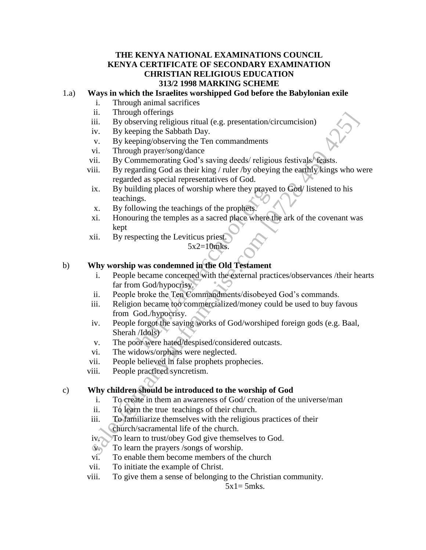### **THE KENYA NATIONAL EXAMINATIONS COUNCIL KENYA CERTIFICATE OF SECONDARY EXAMINATION CHRISTIAN RELIGIOUS EDUCATION 313/2 1998 MARKING SCHEME**

### 1.a) **Ways in which the Israelites worshipped God before the Babylonian exile**

- i. Through animal sacrifices
- ii. Through offerings
- iii. By observing religious ritual (e.g. presentation/circumcision)
- iv. By keeping the Sabbath Day.
- v. By keeping/observing the Ten commandments
- vi. Through prayer/song/dance
- vii. By Commemorating God's saving deeds/ religious festivals/ feasts.
- viii. By regarding God as their king / ruler /by obeying the earthly kings who were regarded as special representatives of God.
- ix. By building places of worship where they prayed to God/ listened to his teachings.
- x. By following the teachings of the prophets.
- xi. Honouring the temples as a sacred place where the ark of the covenant was kept
- xii. By respecting the Leviticus priest.

### $5x2=10$ mks.

### b) **Why worship was condemned in the Old Testament**

- i. People became concerned with the external practices/observances /their hearts far from God/hypocrisy. name places of worship where they praye<br>ggs.<br>lowing the teachings of the prophets.<br>ring the temples as a sacred place where<br>pecting the Leviticus priest.<br>5x2=10mks.<br>**was condemned in the Old Testament**<br>became concerned wit
- ii. People broke the Ten Commandments/disobeyed God's commands.
- iii. Religion became too commercialized/money could be used to buy favous from God./hypocrisy.
- iv. People forgot the saving works of God/worshiped foreign gods (e.g. Baal, Sherah /Idols) ii. Howeving the Sabella Day.<br>
The probability by chering desired in the commandments<br>
v. By keeping/observing the Ten commandments<br>
v. By keeping/observing the Ten commandments<br>
v. Through prayer/song/dance<br>
ii. Through
- v. The poor were hated/despised/considered outcasts.
- vi. The widows/orphans were neglected.
- vii. People believed in false prophets prophecies.
- viii. People practiced syncretism.

#### c) **Why children should be introduced to the worship of God**

- i. To create in them an awareness of God/ creation of the universe/man
- ii. To learn the true teachings of their church.
- iii. To familiarize themselves with the religious practices of their church/sacramental life of the church.
- iv. To learn to trust/obey God give themselves to God.
- v. To learn the prayers /songs of worship.
- vi. To enable them become members of the church
- vii. To initiate the example of Christ.
- viii. To give them a sense of belonging to the Christian community.

 $5x1=5mks.$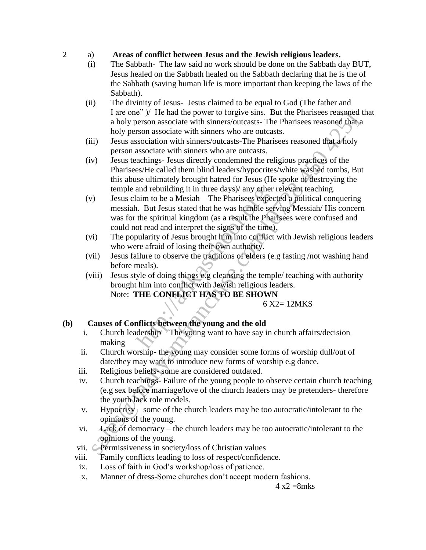### 2 a) **Areas of conflict between Jesus and the Jewish religious leaders.**

- (i) The Sabbath- The law said no work should be done on the Sabbath day BUT, Jesus healed on the Sabbath healed on the Sabbath declaring that he is the of the Sabbath (saving human life is more important than keeping the laws of the Sabbath).
- (ii) The divinity of Jesus- Jesus claimed to be equal to God (The father and I are one" )/ He had the power to forgive sins. But the Pharisees reasoned that a holy person associate with sinners/outcasts- The Pharisees reasoned that a holy person associate with sinners who are outcasts.
- (iii) Jesus association with sinners/outcasts-The Pharisees reasoned that a holy person associate with sinners who are outcasts.
- (iv) Jesus teachings- Jesus directly condemned the religious practices of the Pharisees/He called them blind leaders/hypocrites/white washed tombs, But this abuse ultimately brought hatred for Jesus (He spoke of destroying the temple and rebuilding it in three days)/ any other relevant teaching. From the power to congive sink. But the rankises cassure<br>and by person associate with sinners/outcasts-The Pharises reasoned dhat,<br>in a by person associate with sinners/outcasts-The Pharises reasoned dhat,<br>in Jesus associ
- (v) Jesus claim to be a Mesiah The Pharisees expected a political conquering messiah. But Jesus stated that he was humble serving Messiah/ His concern was for the spiritual kingdom (as a result the Pharisees were confused and could not read and interpret the signs of the time). and rebuilding it in three days)/ any other<br>laim to be a Mesiah – The Pharisees expe<br>n. But Jesus stated that he was humble se<br>the spiritual kingdom (as a result the Pha<br>ot read and interpret the signs of the time<br>pularit
- (vi) The popularity of Jesus brought him into conflict with Jewish religious leaders who were afraid of losing their own authority.
- (vii) Jesus failure to observe the traditions of elders (e.g fasting /not washing hand before meals).
- (viii) Jesus style of doing things e.g cleansing the temple/ teaching with authority brought him into conflict with Jewish religious leaders. Note: **THE CONFLICT HAS TO BE SHOWN**

#### 6 X2= 12MKS

# **(b) Causes of Conflicts between the young and the old**

- i. Church leadership The young want to have say in church affairs/decision making
- ii. Church worship- the young may consider some forms of worship dull/out of date/they may want to introduce new forms of worship e.g dance.
- iii. Religious beliefs- some are considered outdated.
- iv. Church teachings- Failure of the young people to observe certain church teaching (e.g sex before marriage/love of the church leaders may be pretenders- therefore the youth lack role models.
- v. Hypocrisy some of the church leaders may be too autocratic/intolerant to the opinions of the young.
- vi. Lack of democracy the church leaders may be too autocratic/intolerant to the opinions of the young.
- vii. **Permissiveness in society/loss of Christian values**
- viii. Family conflicts leading to loss of respect/confidence.
- ix. Loss of faith in God's workshop/loss of patience.
- x. Manner of dress-Some churches don't accept modern fashions.

 $4 \times 2 = 8$ mks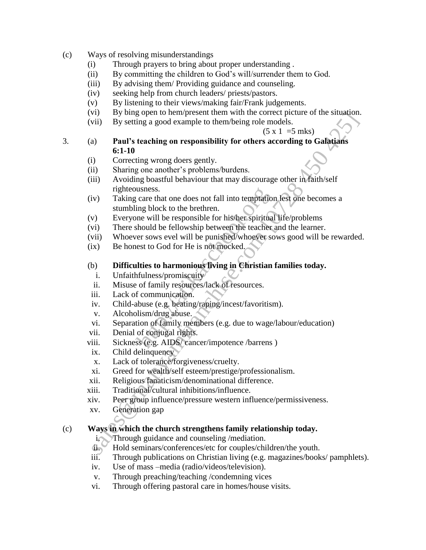- (c) Ways of resolving misunderstandings
	- (i) Through prayers to bring about proper understanding .
	- (ii) By committing the children to God's will/surrender them to God.
	- (iii) By advising them/ Providing guidance and counseling.
	- (iv) seeking help from church leaders/ priests/pastors.
	- (v) By listening to their views/making fair/Frank judgements.
	- (vi) By bing open to hem/present them with the correct picture of the situation.
	- (vii) By setting a good example to them/being role models.

 $(5 \times 1 = 5 \text{ mks})$ 

- 3. (a) **Paul's teaching on responsibility for others according to Galatians 6:1-10** somethise of the sales of the sales of the sales of the sales of the sales of the sales of the sales of the sales of the sales of the sales of the sales of the sales of the sales of the sales of the sales of the sales of
	- (i) Correcting wrong doers gently.
	- (ii) Sharing one another's problems/burdens.
	- (iii) Avoiding boastful behaviour that may discourage other in faith/self righteousness.
	- (iv) Taking care that one does not fall into temptation lest one becomes a stumbling block to the brethren. busness.<br>
	(care that one does not fall into temptation<br>
	ing block to the brethren.<br>
	one will be responsible for his/her spiritua<br>
	should be fellowship between the teacher<br>
	ver sows evel will be punished/whoever seest to Go
	- (v) Everyone will be responsible for his/her spiritual life/problems
	- (vi) There should be fellowship between the teacher and the learner.
	- (vii) Whoever sows evel will be punished/whoever sows good will be rewarded.
	- (ix) Be honest to God for He is not mocked.
	- (b) **Difficulties to harmonious living in Christian families today.**
		- i. Unfaithfulness/promiscuity
	- ii. Misuse of family resources/lack of resources.
	- iii. Lack of communication.
	- iv. Child-abuse (e.g. beating/raping/incest/favoritism).
	- v. Alcoholism/drug abuse.
	- vi. Separation of family members (e.g. due to wage/labour/education)
	- vii. Denial of conjugal rights.
	- viii. Sickness (e.g. AIDS/ cancer/impotence /barrens )
	- ix. Child delinquency
	- x. Lack of tolerance/forgiveness/cruelty.
	- xi. Greed for wealth/self esteem/prestige/professionalism.
	- xii. Religious fanaticism/denominational difference.
	- xiii. Traditional/cultural inhibitions/influence.
	- xiv. Peer group influence/pressure western influence/permissiveness.
	- xv. Generation gap

# (c) **Ways in which the church strengthens family relationship today.**

- i. Through guidance and counseling /mediation.
- ii. Hold seminars/conferences/etc for couples/children/the youth.
- iii. Through publications on Christian living (e.g. magazines/books/ pamphlets).
- iv. Use of mass –media (radio/videos/television).
- v. Through preaching/teaching /condemning vices
- vi. Through offering pastoral care in homes/house visits.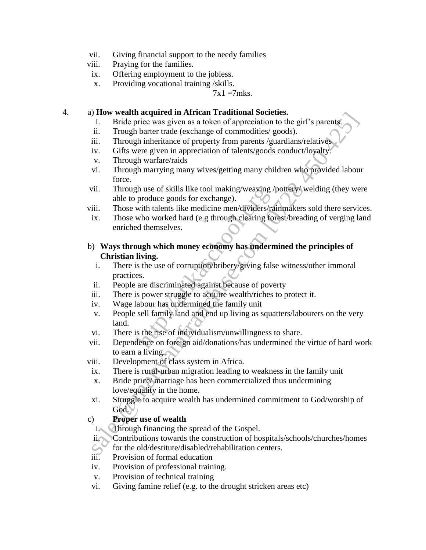- vii. Giving financial support to the needy families
- viii. Praying for the families.
- ix. Offering employment to the jobless.
- x. Providing vocational training /skills.

 $7x1 = 7$ mks.

### 4. a) **How wealth acquired in African Traditional Societies.**

- i. Bride price was given as a token of appreciation to the girl's parents.
- ii. Trough barter trade (exchange of commodities/ goods).
- iii. Through inheritance of property from parents /guardians/relatives
- iv. Gifts were given in appreciation of talents/goods conduct/loyalty.
- v. Through warfare/raids
- vi. Through marrying many wives/getting many children who provided labour force.
- vii. Through use of skills like tool making/weaving /pottery/ welding (they were able to produce goods for exchange).
- viii. Those with talents like medicine men/dividers/rainmakers sold there services.
- ix. Those who worked hard (e.g through clearing forest/breading of verging land enriched themselves.
- b) **Ways through which money economy has undermined the principles of Christian living.** The use of skills like tool making/weaving<br>produce goods for exchange).<br>with talents like medicine men/dividers/rs<br>who worked hard (e.g through clearing for<br>each themselves.<br>bugh which money economy has underriving.<br>is the
- i. There is the use of corruption/bribery/giving false witness/other immoral practices. The wealth adventure in African Trainmoreal is a column of the girl's parents.<br>
i. Bride price was given as a token of appreciation to the girl's parents.<br>
iii. Through hater trade (scchange of commodities/goods).<br>
iv. Gi
	- ii. People are discriminated against because of poverty
- iii. There is power struggle to acquire wealth/riches to protect it.
- iv. Wage labour has undermined the family unit
- v. People sell family land and end up living as squatters/labourers on the very land.
- vi. There is the rise of individualism/unwillingness to share.
- vii. Dependence on foreign aid/donations/has undermined the virtue of hard work to earn a living.
- viii. Development of class system in Africa.
- ix. There is rural-urban migration leading to weakness in the family unit
- x. Bride price/ marriage has been commercialized thus undermining love/equality in the home.
- xi. Struggle to acquire wealth has undermined commitment to God/worship of God.

# c) **Proper use of wealth**

- 
- i. Through financing the spread of the Gospel.<br>ii. Contributions towards the construction of ho Contributions towards the construction of hospitals/schools/churches/homes
- for the old/destitute/disabled/rehabilitation centers.
- iii. Provision of formal education
- iv. Provision of professional training.
- v. Provision of technical training
- vi. Giving famine relief (e.g. to the drought stricken areas etc)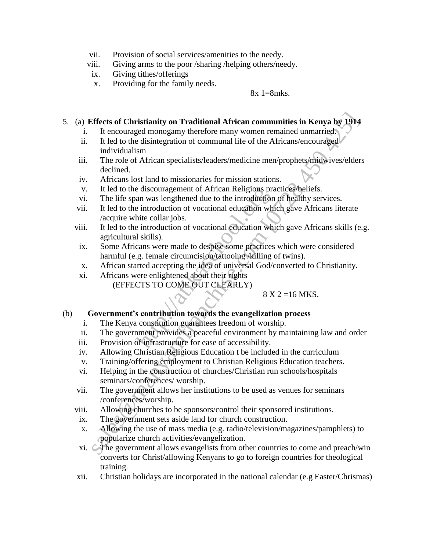- vii. Provision of social services/amenities to the needy.
- viii. Giving arms to the poor /sharing /helping others/needy.
- ix. Giving tithes/offerings
- x. Providing for the family needs.

#### $8x = 128$ mks.

### 5. (a) **Effects of Christianity on Traditional African communities in Kenya by 1914**

- i. It encouraged monogamy therefore many women remained unmarried.
- ii. It led to the disintegration of communal life of the Africans/encouraged individualism
- iii. The role of African specialists/leaders/medicine men/prophets/midwives/elders declined.
- iv. Africans lost land to missionaries for mission stations.
- v. It led to the discouragement of African Religious practices/beliefs.
- vi. The life span was lengthened due to the introduction of healthy services.
- vii. It led to the introduction of vocational education which gave Africans literate /acquire white collar jobs.
- viii. It led to the introduction of vocational education which gave Africans skills (e.g. agricultural skills). e discouragement of African Religious pr<br>an was lengthened due to the introduction<br>e introduction of vocational education wh<br>hite collar jobs.<br>e introduction of vocational education wh<br>l skills).<br>cans were made to despise Iffects of Christianity on Traditional African communities in Kenya by 1914<br>
It encouraged monogramy therefore many women remained unmarried<br>
it tel to the disintegration of communal life of the Africans/encouraged<br>
indiv
- ix. Some Africans were made to despise some practices which were considered harmful (e.g. female circumcision/tattooing /killing of twins).
- x. African started accepting the idea of universal God/converted to Christianity.
- xi. Africans were enlightened about their rights (EFFECTS TO COME OUT CLEARLY)

# $8 X 2 = 16 MKS$ .

# (b) **Government's contribution towards the evangelization process**

- i. The Kenya constitution guarantees freedom of worship.
- ii. The government provides a peaceful environment by maintaining law and order
- iii. Provision of infrastructure for ease of accessibility.
- iv. Allowing Christian Religious Education t be included in the curriculum
- v. Training/offering employment to Christian Religious Education teachers.
- vi. Helping in the construction of churches/Christian run schools/hospitals seminars/conferences/ worship.
- vii. The government allows her institutions to be used as venues for seminars /conferences/worship.
- viii. Allowing churches to be sponsors/control their sponsored institutions.
- ix. The government sets aside land for church construction.
- x. Allowing the use of mass media (e.g. radio/television/magazines/pamphlets) to popularize church activities/evangelization.
- xi. The government allows evangelists from other countries to come and preach/win converts for Christ/allowing Kenyans to go to foreign countries for theological training.
- xii. Christian holidays are incorporated in the national calendar (e.g Easter/Chrismas)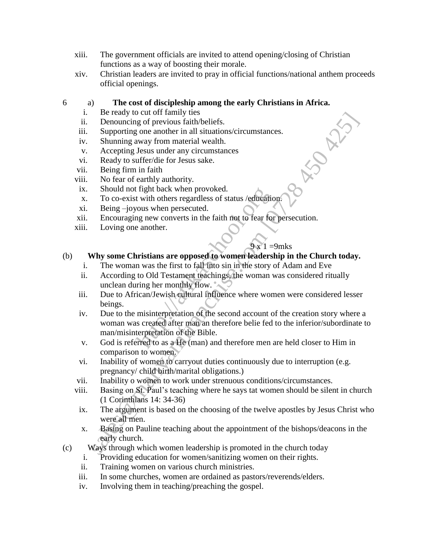- xiii. The government officials are invited to attend opening/closing of Christian functions as a way of boosting their morale.
- xiv. Christian leaders are invited to pray in official functions/national anthem proceeds official openings.

### 6 a) **The cost of discipleship among the early Christians in Africa.**

- i. Be ready to cut off family ties
- ii. Denouncing of previous faith/beliefs.
- iii. Supporting one another in all situations/circumstances.
- iv. Shunning away from material wealth.
- v. Accepting Jesus under any circumstances
- vi. Ready to suffer/die for Jesus sake.
- vii. Being firm in faith
- viii. No fear of earthly authority.
- ix. Should not fight back when provoked.
- x. To co-exist with others regardless of status /education.
- xi. Being –joyous when persecuted.
- xii. Encouraging new converts in the faith not to fear for persecution.
- xiii. Loving one another.

# $9 \times 1 = 9$ mks

# (b) **Why some Christians are opposed to women leadership in the Church today.**

- i. The woman was the first to fall into sin in the story of Adam and Eve
- ii. According to Old Testament teachings, the woman was considered ritually unclean during her monthly flow.
- iii. Due to African/Jewish cultural influence where women were considered lesser beings.
- iv. Due to the misinterpretation of the second account of the creation story where a woman was created after man an therefore belie fed to the inferior/subordinate to man/misinterpretation of the Bible. The mean provided is the provided.<br>
The twith others regardless of status /education<br>
yous when persecuted.<br>
In graw converts in the faith not to fear for<br>
e another.<br>
Section and the mean of the story<br>
to Old Testament te Be leady to Catch Training these<br>Denouncing of previous faith/beliefs.<br>Supporting on another in all situations/circumstances.<br>Supporting over another in all situations/circumstances.<br>Ready to suffer/die for Jesus sake.<br>Be
- v. God is referred to as a He (man) and therefore men are held closer to Him in comparison to women.
- vi. Inability of women to carryout duties continuously due to interruption (e.g. pregnancy/ child birth/marital obligations.)
- vii. Inability o women to work under strenuous conditions/circumstances.
- viii. Basing on St. Paul's teaching where he says tat women should be silent in church (1 Corinthians 14: 34-36)
- ix. The argument is based on the choosing of the twelve apostles by Jesus Christ who were all men.
- x. Basing on Pauline teaching about the appointment of the bishops/deacons in the early church.
- (c) Ways through which women leadership is promoted in the church today
	- i. Providing education for women/sanitizing women on their rights.
	- ii. Training women on various church ministries.
	- iii. In some churches, women are ordained as pastors/reverends/elders.
	- iv. Involving them in teaching/preaching the gospel.